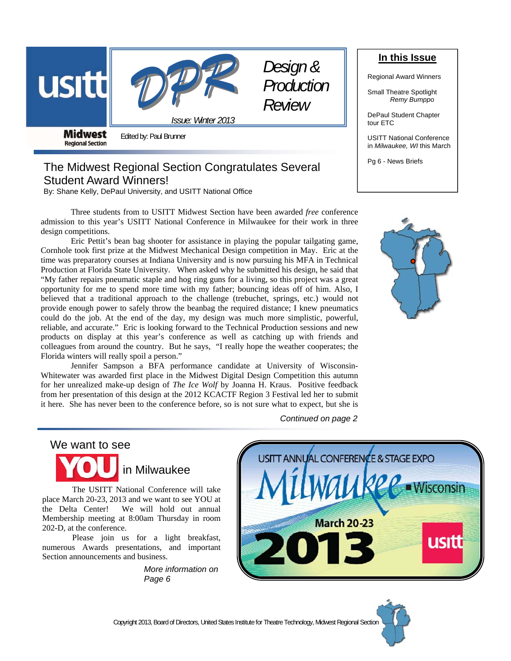



*Design & Production Review* 

**Midwest Regional Section** 

Edited by: Paul Brunner

# The Midwest Regional Section Congratulates Several Student Award Winners!

By: Shane Kelly, DePaul University, and USITT National Office

Three students from to USITT Midwest Section have been awarded *free* conference admission to this year's USITT National Conference in Milwaukee for their work in three design competitions.

*Issue: Winter 2013* 

 Eric Pettit's bean bag shooter for assistance in playing the popular tailgating game, Cornhole took first prize at the Midwest Mechanical Design competition in May. Eric at the time was preparatory courses at Indiana University and is now pursuing his MFA in Technical Production at Florida State University. When asked why he submitted his design, he said that "My father repairs pneumatic staple and hog ring guns for a living, so this project was a great opportunity for me to spend more time with my father; bouncing ideas off of him. Also, I believed that a traditional approach to the challenge (trebuchet, springs, etc.) would not provide enough power to safely throw the beanbag the required distance; I knew pneumatics could do the job. At the end of the day, my design was much more simplistic, powerful, reliable, and accurate." Eric is looking forward to the Technical Production sessions and new products on display at this year's conference as well as catching up with friends and colleagues from around the country. But he says, "I really hope the weather cooperates; the Florida winters will really spoil a person."

 Jennifer Sampson a BFA performance candidate at University of Wisconsin-Whitewater was awarded first place in the Midwest Digital Design Competition this autumn for her unrealized make-up design of *The Ice Wolf* by Joanna H. Kraus. Positive feedback from her presentation of this design at the 2012 KCACTF Region 3 Festival led her to submit it here. She has never been to the conference before, so is not sure what to expect, but she is

We want to see



 The USITT National Conference will take place March 20-23, 2013 and we want to see YOU at the Delta Center! We will hold out annual Membership meeting at 8:00am Thursday in room 202-D, at the conference.

 Please join us for a light breakfast, numerous Awards presentations, and important Section announcements and business.

> *More information on Page 6*

*Continued on page 2* 





# **In this Issue**

Regional Award Winners

Small Theatre Spotlight *Remy Bumppo* 

DePaul Student Chapter tour ETC

USITT National Conference in *Milwaukee, WI* this March

Pg 6 - News Briefs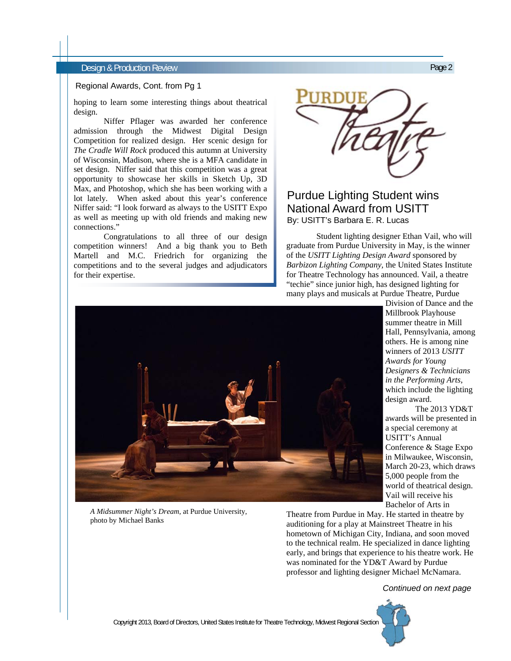#### Design & Production Review Page 2

#### Regional Awards, Cont. from Pg 1

hoping to learn some interesting things about theatrical design.

 Niffer Pflager was awarded her conference admission through the Midwest Digital Design Competition for realized design. Her scenic design for *The Cradle Will Rock* produced this autumn at University of Wisconsin, Madison, where she is a MFA candidate in set design. Niffer said that this competition was a great opportunity to showcase her skills in Sketch Up, 3D Max, and Photoshop, which she has been working with a lot lately. When asked about this year's conference Niffer said: "I look forward as always to the USITT Expo as well as meeting up with old friends and making new connections."

 Congratulations to all three of our design competition winners! And a big thank you to Beth Martell and M.C. Friedrich for organizing the competitions and to the several judges and adjudicators for their expertise.

# Purdue Lighting Student wins National Award from USITT By: USITT's Barbara E. R. Lucas

 Student lighting designer Ethan Vail, who will graduate from Purdue University in May, is the winner of the *USITT Lighting Design Award* sponsored by *Barbizon Lighting Company,* the United States Institute for Theatre Technology has announced. Vail, a theatre "techie" since junior high, has designed lighting for many plays and musicals at Purdue Theatre, Purdue



*A Midsummer Night's Dream*, at Purdue University, photo by Michael Banks

Division of Dance and the Millbrook Playhouse summer theatre in Mill Hall, Pennsylvania, among others. He is among nine winners of 2013 *USITT Awards for Young Designers & Technicians in the Performing Arts*, which include the lighting design award.

 The 2013 YD&T awards will be presented in a special ceremony at USITT's Annual Conference & Stage Expo in Milwaukee, Wisconsin, March 20-23, which draws 5,000 people from the world of theatrical design. Vail will receive his Bachelor of Arts in

Theatre from Purdue in May. He started in theatre by auditioning for a play at Mainstreet Theatre in his hometown of Michigan City, Indiana, and soon moved to the technical realm. He specialized in dance lighting early, and brings that experience to his theatre work. He was nominated for the YD&T Award by Purdue professor and lighting designer Michael McNamara.

#### *Continued on next page*



Copyright 2013, Board of Directors, United States Institute for Theatre Technology, Midwest Regional Section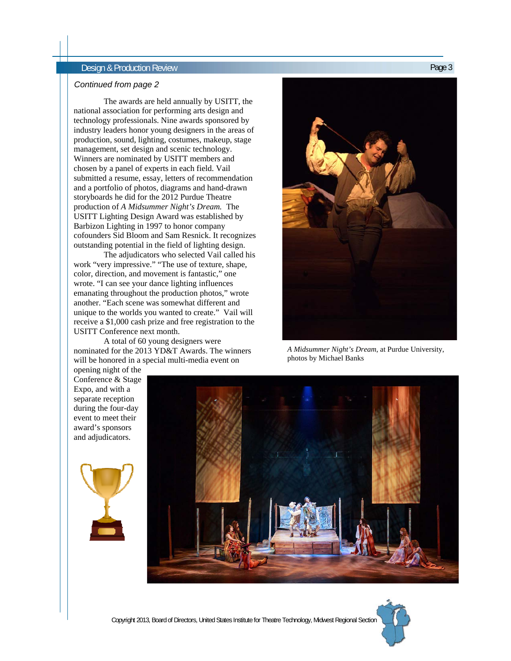# Design & Production Review Page 3

#### *Continued from page 2*

 The awards are held annually by USITT, the national association for performing arts design and technology professionals. Nine awards sponsored by industry leaders honor young designers in the areas of production, sound, lighting, costumes, makeup, stage management, set design and scenic technology. Winners are nominated by USITT members and chosen by a panel of experts in each field. Vail submitted a resume, essay, letters of recommendation and a portfolio of photos, diagrams and hand-drawn storyboards he did for the 2012 Purdue Theatre production of *A Midsummer Night's Dream.* The USITT Lighting Design Award was established by Barbizon Lighting in 1997 to honor company cofounders Sid Bloom and Sam Resnick. It recognizes outstanding potential in the field of lighting design.

 The adjudicators who selected Vail called his work "very impressive." "The use of texture, shape, color, direction, and movement is fantastic," one wrote. "I can see your dance lighting influences emanating throughout the production photos," wrote another. "Each scene was somewhat different and unique to the worlds you wanted to create." Vail will receive a \$1,000 cash prize and free registration to the USITT Conference next month.

 A total of 60 young designers were nominated for the 2013 YD&T Awards. The winners will be honored in a special multi-media event on



*A Midsummer Night's Dream*, at Purdue University, photos by Michael Banks

opening night of the Conference & Stage Expo, and with a separate reception during the four-day event to meet their award's sponsors and adjudicators.





Copyright 2013, Board of Directors, United States Institute for Theatre Technology, Midwest Regional Section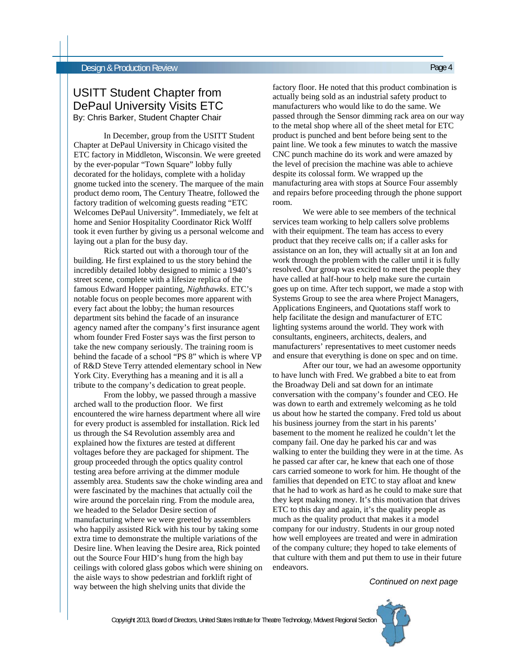# USITT Student Chapter from DePaul University Visits ETC By: Chris Barker, Student Chapter Chair

In December, group from the USITT Student Chapter at DePaul University in Chicago visited the ETC factory in Middleton, Wisconsin. We were greeted by the ever-popular "Town Square" lobby fully decorated for the holidays, complete with a holiday gnome tucked into the scenery. The marquee of the main product demo room, The Century Theatre, followed the factory tradition of welcoming guests reading "ETC Welcomes DePaul University". Immediately, we felt at home and Senior Hospitality Coordinator Rick Wolff took it even further by giving us a personal welcome and laying out a plan for the busy day.

 Rick started out with a thorough tour of the building. He first explained to us the story behind the incredibly detailed lobby designed to mimic a 1940's street scene, complete with a lifesize replica of the famous Edward Hopper painting, *Nighthawks*. ETC's notable focus on people becomes more apparent with every fact about the lobby; the human resources department sits behind the facade of an insurance agency named after the company's first insurance agent whom founder Fred Foster says was the first person to take the new company seriously. The training room is behind the facade of a school "PS 8" which is where VP of R&D Steve Terry attended elementary school in New York City. Everything has a meaning and it is all a tribute to the company's dedication to great people.

 From the lobby, we passed through a massive arched wall to the production floor. We first encountered the wire harness department where all wire for every product is assembled for installation. Rick led us through the S4 Revolution assembly area and explained how the fixtures are tested at different voltages before they are packaged for shipment. The group proceeded through the optics quality control testing area before arriving at the dimmer module assembly area. Students saw the choke winding area and were fascinated by the machines that actually coil the wire around the porcelain ring. From the module area, we headed to the Selador Desire section of manufacturing where we were greeted by assemblers who happily assisted Rick with his tour by taking some extra time to demonstrate the multiple variations of the Desire line. When leaving the Desire area, Rick pointed out the Source Four HID's hung from the high bay ceilings with colored glass gobos which were shining on the aisle ways to show pedestrian and forklift right of way between the high shelving units that divide the **Continued on next page** way between the high shelving units that divide the

factory floor. He noted that this product combination is actually being sold as an industrial safety product to manufacturers who would like to do the same. We passed through the Sensor dimming rack area on our way to the metal shop where all of the sheet metal for ETC product is punched and bent before being sent to the paint line. We took a few minutes to watch the massive CNC punch machine do its work and were amazed by the level of precision the machine was able to achieve despite its colossal form. We wrapped up the manufacturing area with stops at Source Four assembly and repairs before proceeding through the phone support room.

 We were able to see members of the technical services team working to help callers solve problems with their equipment. The team has access to every product that they receive calls on; if a caller asks for assistance on an Ion, they will actually sit at an Ion and work through the problem with the caller until it is fully resolved. Our group was excited to meet the people they have called at half-hour to help make sure the curtain goes up on time. After tech support, we made a stop with Systems Group to see the area where Project Managers, Applications Engineers, and Quotations staff work to help facilitate the design and manufacturer of ETC lighting systems around the world. They work with consultants, engineers, architects, dealers, and manufacturers' representatives to meet customer needs and ensure that everything is done on spec and on time.

 After our tour, we had an awesome opportunity to have lunch with Fred. We grabbed a bite to eat from the Broadway Deli and sat down for an intimate conversation with the company's founder and CEO. He was down to earth and extremely welcoming as he told us about how he started the company. Fred told us about his business journey from the start in his parents' basement to the moment he realized he couldn't let the company fail. One day he parked his car and was walking to enter the building they were in at the time. As he passed car after car, he knew that each one of those cars carried someone to work for him. He thought of the families that depended on ETC to stay afloat and knew that he had to work as hard as he could to make sure that they kept making money. It's this motivation that drives ETC to this day and again, it's the quality people as much as the quality product that makes it a model company for our industry. Students in our group noted how well employees are treated and were in admiration of the company culture; they hoped to take elements of that culture with them and put them to use in their future endeavors.

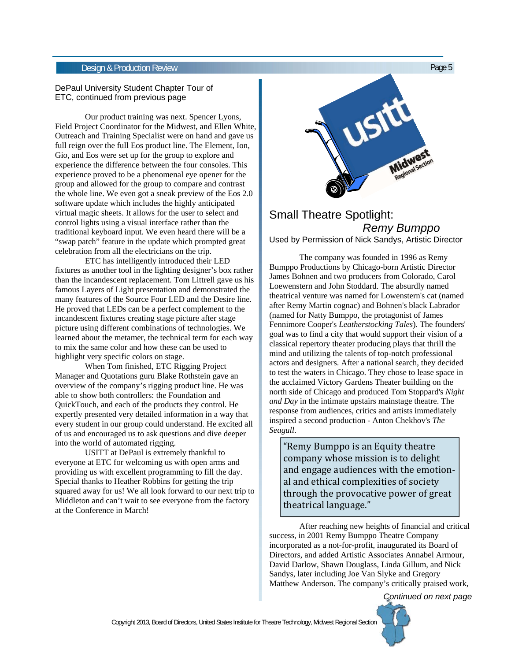### Design & Production Review Page 5

#### DePaul University Student Chapter Tour of ETC, continued from previous page

 Our product training was next. Spencer Lyons, Field Project Coordinator for the Midwest, and Ellen White, Outreach and Training Specialist were on hand and gave us full reign over the full Eos product line. The Element, Ion, Gio, and Eos were set up for the group to explore and experience the difference between the four consoles. This experience proved to be a phenomenal eye opener for the group and allowed for the group to compare and contrast the whole line. We even got a sneak preview of the Eos 2.0 software update which includes the highly anticipated virtual magic sheets. It allows for the user to select and control lights using a visual interface rather than the traditional keyboard input. We even heard there will be a "swap patch" feature in the update which prompted great celebration from all the electricians on the trip.

 ETC has intelligently introduced their LED fixtures as another tool in the lighting designer's box rather than the incandescent replacement. Tom Littrell gave us his famous Layers of Light presentation and demonstrated the many features of the Source Four LED and the Desire line. He proved that LEDs can be a perfect complement to the incandescent fixtures creating stage picture after stage picture using different combinations of technologies. We learned about the metamer, the technical term for each way to mix the same color and how these can be used to highlight very specific colors on stage.

 When Tom finished, ETC Rigging Project Manager and Quotations guru Blake Rothstein gave an overview of the company's rigging product line. He was able to show both controllers: the Foundation and QuickTouch, and each of the products they control. He expertly presented very detailed information in a way that every student in our group could understand. He excited all of us and encouraged us to ask questions and dive deeper into the world of automated rigging.

 USITT at DePaul is extremely thankful to everyone at ETC for welcoming us with open arms and providing us with excellent programming to fill the day. Special thanks to Heather Robbins for getting the trip squared away for us! We all look forward to our next trip to Middleton and can't wait to see everyone from the factory at the Conference in March!



# Small Theatre Spotlight: *Remy Bumppo* Used by Permission of Nick Sandys, Artistic Director

 The company was founded in 1996 as Remy Bumppo Productions by Chicago-born Artistic Director James Bohnen and two producers from Colorado, Carol Loewenstern and John Stoddard. The absurdly named theatrical venture was named for Lowenstern's cat (named after Remy Martin cognac) and Bohnen's black Labrador (named for Natty Bumppo, the protagonist of James Fennimore Cooper's *Leatherstocking Tales*). The founders' goal was to find a city that would support their vision of a classical repertory theater producing plays that thrill the mind and utilizing the talents of top-notch professional actors and designers. After a national search, they decided to test the waters in Chicago. They chose to lease space in the acclaimed Victory Gardens Theater building on the north side of Chicago and produced Tom Stoppard's *Night and Day* in the intimate upstairs mainstage theatre. The response from audiences, critics and artists immediately inspired a second production - Anton Chekhov's *The Seagull*.

"Remy Bumppo is an Equity theatre company whose mission is to delight and engage audiences with the emotional and ethical complexities of society through the provocative power of great theatrical language."

 After reaching new heights of financial and critical success, in 2001 Remy Bumppo Theatre Company incorporated as a not-for-profit, inaugurated its Board of Directors, and added Artistic Associates Annabel Armour, David Darlow, Shawn Douglass, Linda Gillum, and Nick Sandys, later including Joe Van Slyke and Gregory Matthew Anderson. The company's critically praised work,

*Continued on next page*